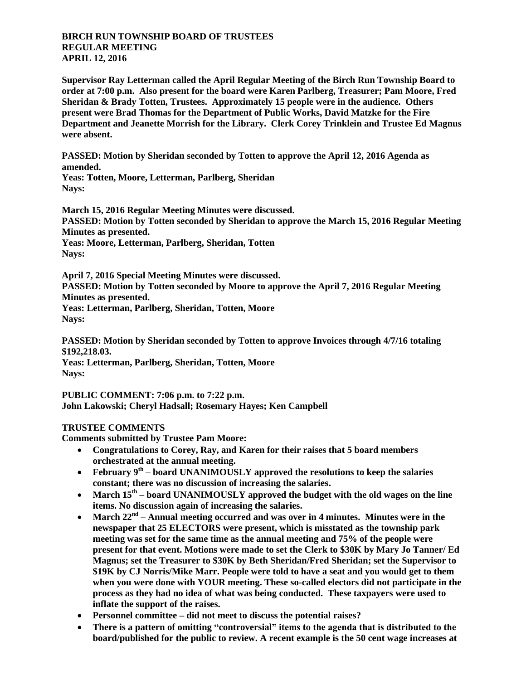## **BIRCH RUN TOWNSHIP BOARD OF TRUSTEES REGULAR MEETING APRIL 12, 2016**

**Supervisor Ray Letterman called the April Regular Meeting of the Birch Run Township Board to order at 7:00 p.m. Also present for the board were Karen Parlberg, Treasurer; Pam Moore, Fred Sheridan & Brady Totten, Trustees. Approximately 15 people were in the audience. Others present were Brad Thomas for the Department of Public Works, David Matzke for the Fire Department and Jeanette Morrish for the Library. Clerk Corey Trinklein and Trustee Ed Magnus were absent.**

**PASSED: Motion by Sheridan seconded by Totten to approve the April 12, 2016 Agenda as amended.**

**Yeas: Totten, Moore, Letterman, Parlberg, Sheridan Nays:** 

**March 15, 2016 Regular Meeting Minutes were discussed. PASSED: Motion by Totten seconded by Sheridan to approve the March 15, 2016 Regular Meeting Minutes as presented. Yeas: Moore, Letterman, Parlberg, Sheridan, Totten**

**Nays:** 

**April 7, 2016 Special Meeting Minutes were discussed. PASSED: Motion by Totten seconded by Moore to approve the April 7, 2016 Regular Meeting Minutes as presented. Yeas: Letterman, Parlberg, Sheridan, Totten, Moore Nays:** 

**PASSED: Motion by Sheridan seconded by Totten to approve Invoices through 4/7/16 totaling \$192,218.03. Yeas: Letterman, Parlberg, Sheridan, Totten, Moore**

**Nays:** 

**PUBLIC COMMENT: 7:06 p.m. to 7:22 p.m. John Lakowski; Cheryl Hadsall; Rosemary Hayes; Ken Campbell**

## **TRUSTEE COMMENTS**

**Comments submitted by Trustee Pam Moore:**

- **Congratulations to Corey, Ray, and Karen for their raises that 5 board members orchestrated at the annual meeting.**
- February 9<sup>th</sup> board UNANIMOUSLY approved the resolutions to keep the salaries **constant; there was no discussion of increasing the salaries.**
- March 15<sup>th</sup> board UNANIMOUSLY approved the budget with the old wages on the line **items. No discussion again of increasing the salaries.**
- March 22<sup>nd</sup> Annual meeting occurred and was over in 4 minutes. Minutes were in the **newspaper that 25 ELECTORS were present, which is misstated as the township park meeting was set for the same time as the annual meeting and 75% of the people were present for that event. Motions were made to set the Clerk to \$30K by Mary Jo Tanner/ Ed Magnus; set the Treasurer to \$30K by Beth Sheridan/Fred Sheridan; set the Supervisor to \$19K by CJ Norris/Mike Marr. People were told to have a seat and you would get to them when you were done with YOUR meeting. These so-called electors did not participate in the process as they had no idea of what was being conducted. These taxpayers were used to inflate the support of the raises.**
- **Personnel committee – did not meet to discuss the potential raises?**
- **There is a pattern of omitting "controversial" items to the agenda that is distributed to the board/published for the public to review. A recent example is the 50 cent wage increases at**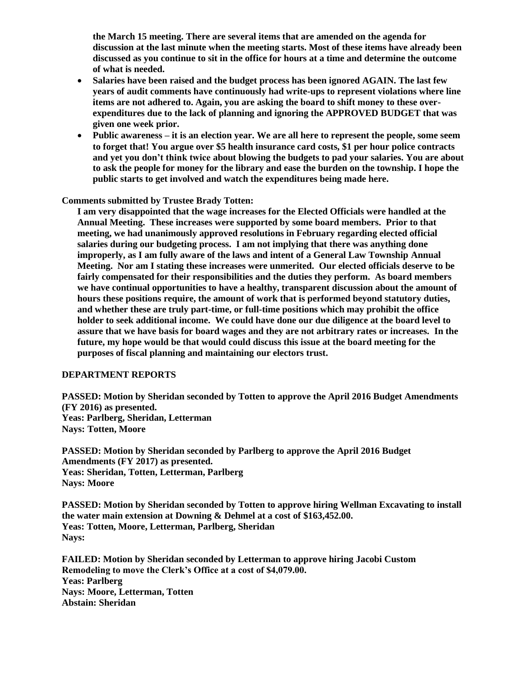**the March 15 meeting. There are several items that are amended on the agenda for discussion at the last minute when the meeting starts. Most of these items have already been discussed as you continue to sit in the office for hours at a time and determine the outcome of what is needed.**

- **Salaries have been raised and the budget process has been ignored AGAIN. The last few years of audit comments have continuously had write-ups to represent violations where line items are not adhered to. Again, you are asking the board to shift money to these overexpenditures due to the lack of planning and ignoring the APPROVED BUDGET that was given one week prior.**
- **Public awareness – it is an election year. We are all here to represent the people, some seem to forget that! You argue over \$5 health insurance card costs, \$1 per hour police contracts and yet you don't think twice about blowing the budgets to pad your salaries. You are about to ask the people for money for the library and ease the burden on the township. I hope the public starts to get involved and watch the expenditures being made here.**

**Comments submitted by Trustee Brady Totten:**

**I am very disappointed that the wage increases for the Elected Officials were handled at the Annual Meeting. These increases were supported by some board members. Prior to that meeting, we had unanimously approved resolutions in February regarding elected official salaries during our budgeting process. I am not implying that there was anything done improperly, as I am fully aware of the laws and intent of a General Law Township Annual Meeting. Nor am I stating these increases were unmerited. Our elected officials deserve to be fairly compensated for their responsibilities and the duties they perform. As board members we have continual opportunities to have a healthy, transparent discussion about the amount of hours these positions require, the amount of work that is performed beyond statutory duties, and whether these are truly part-time, or full-time positions which may prohibit the office holder to seek additional income. We could have done our due diligence at the board level to assure that we have basis for board wages and they are not arbitrary rates or increases. In the future, my hope would be that would could discuss this issue at the board meeting for the purposes of fiscal planning and maintaining our electors trust.**

## **DEPARTMENT REPORTS**

**PASSED: Motion by Sheridan seconded by Totten to approve the April 2016 Budget Amendments (FY 2016) as presented. Yeas: Parlberg, Sheridan, Letterman Nays: Totten, Moore**

**PASSED: Motion by Sheridan seconded by Parlberg to approve the April 2016 Budget Amendments (FY 2017) as presented. Yeas: Sheridan, Totten, Letterman, Parlberg Nays: Moore**

**PASSED: Motion by Sheridan seconded by Totten to approve hiring Wellman Excavating to install the water main extension at Downing & Dehmel at a cost of \$163,452.00. Yeas: Totten, Moore, Letterman, Parlberg, Sheridan Nays:** 

**FAILED: Motion by Sheridan seconded by Letterman to approve hiring Jacobi Custom Remodeling to move the Clerk's Office at a cost of \$4,079.00. Yeas: Parlberg Nays: Moore, Letterman, Totten Abstain: Sheridan**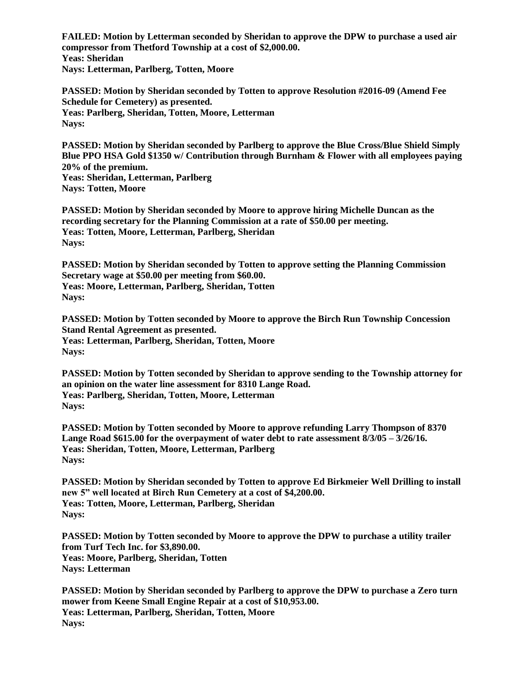**FAILED: Motion by Letterman seconded by Sheridan to approve the DPW to purchase a used air compressor from Thetford Township at a cost of \$2,000.00. Yeas: Sheridan Nays: Letterman, Parlberg, Totten, Moore**

**PASSED: Motion by Sheridan seconded by Totten to approve Resolution #2016-09 (Amend Fee Schedule for Cemetery) as presented. Yeas: Parlberg, Sheridan, Totten, Moore, Letterman Nays:** 

**PASSED: Motion by Sheridan seconded by Parlberg to approve the Blue Cross/Blue Shield Simply Blue PPO HSA Gold \$1350 w/ Contribution through Burnham & Flower with all employees paying 20% of the premium. Yeas: Sheridan, Letterman, Parlberg Nays: Totten, Moore**

**PASSED: Motion by Sheridan seconded by Moore to approve hiring Michelle Duncan as the recording secretary for the Planning Commission at a rate of \$50.00 per meeting. Yeas: Totten, Moore, Letterman, Parlberg, Sheridan Nays:** 

**PASSED: Motion by Sheridan seconded by Totten to approve setting the Planning Commission Secretary wage at \$50.00 per meeting from \$60.00. Yeas: Moore, Letterman, Parlberg, Sheridan, Totten Nays:** 

**PASSED: Motion by Totten seconded by Moore to approve the Birch Run Township Concession Stand Rental Agreement as presented. Yeas: Letterman, Parlberg, Sheridan, Totten, Moore Nays:** 

**PASSED: Motion by Totten seconded by Sheridan to approve sending to the Township attorney for an opinion on the water line assessment for 8310 Lange Road. Yeas: Parlberg, Sheridan, Totten, Moore, Letterman Nays:** 

**PASSED: Motion by Totten seconded by Moore to approve refunding Larry Thompson of 8370 Lange Road \$615.00 for the overpayment of water debt to rate assessment 8/3/05 – 3/26/16. Yeas: Sheridan, Totten, Moore, Letterman, Parlberg Nays:** 

**PASSED: Motion by Sheridan seconded by Totten to approve Ed Birkmeier Well Drilling to install new 5" well located at Birch Run Cemetery at a cost of \$4,200.00. Yeas: Totten, Moore, Letterman, Parlberg, Sheridan Nays:** 

**PASSED: Motion by Totten seconded by Moore to approve the DPW to purchase a utility trailer from Turf Tech Inc. for \$3,890.00. Yeas: Moore, Parlberg, Sheridan, Totten Nays: Letterman**

**PASSED: Motion by Sheridan seconded by Parlberg to approve the DPW to purchase a Zero turn mower from Keene Small Engine Repair at a cost of \$10,953.00. Yeas: Letterman, Parlberg, Sheridan, Totten, Moore Nays:**